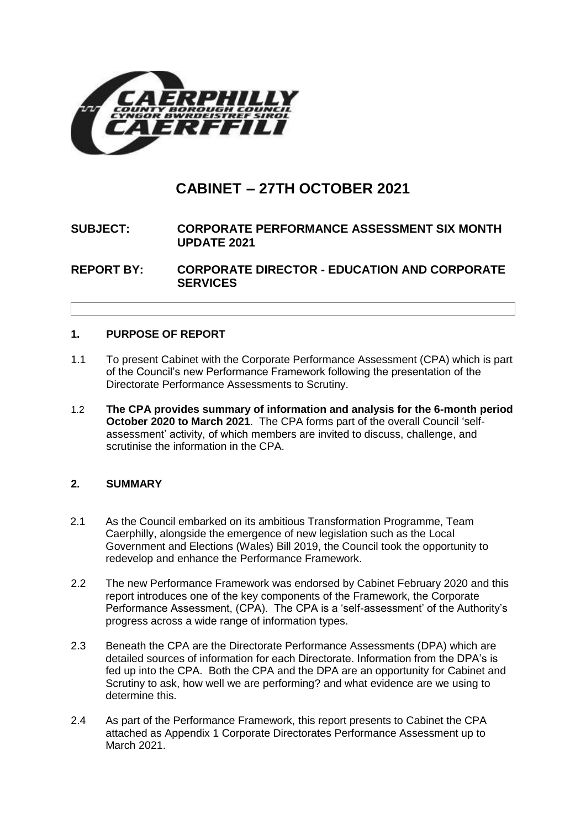

# **CABINET – 27TH OCTOBER 2021**

# **SUBJECT: CORPORATE PERFORMANCE ASSESSMENT SIX MONTH UPDATE 2021**

**REPORT BY: CORPORATE DIRECTOR - EDUCATION AND CORPORATE SERVICES**

# **1. PURPOSE OF REPORT**

- 1.1 To present Cabinet with the Corporate Performance Assessment (CPA) which is part of the Council's new Performance Framework following the presentation of the Directorate Performance Assessments to Scrutiny.
- 1.2 **The CPA provides summary of information and analysis for the 6-month period October 2020 to March 2021**. The CPA forms part of the overall Council 'selfassessment' activity, of which members are invited to discuss, challenge, and scrutinise the information in the CPA.

# **2. SUMMARY**

- 2.1 As the Council embarked on its ambitious Transformation Programme, Team Caerphilly, alongside the emergence of new legislation such as the Local Government and Elections (Wales) Bill 2019, the Council took the opportunity to redevelop and enhance the Performance Framework.
- 2.2 The new Performance Framework was endorsed by Cabinet February 2020 and this report introduces one of the key components of the Framework, the Corporate Performance Assessment, (CPA). The CPA is a 'self-assessment' of the Authority's progress across a wide range of information types.
- 2.3 Beneath the CPA are the Directorate Performance Assessments (DPA) which are detailed sources of information for each Directorate. Information from the DPA's is fed up into the CPA. Both the CPA and the DPA are an opportunity for Cabinet and Scrutiny to ask, how well we are performing? and what evidence are we using to determine this.
- 2.4 As part of the Performance Framework, this report presents to Cabinet the CPA attached as Appendix 1 Corporate Directorates Performance Assessment up to March 2021.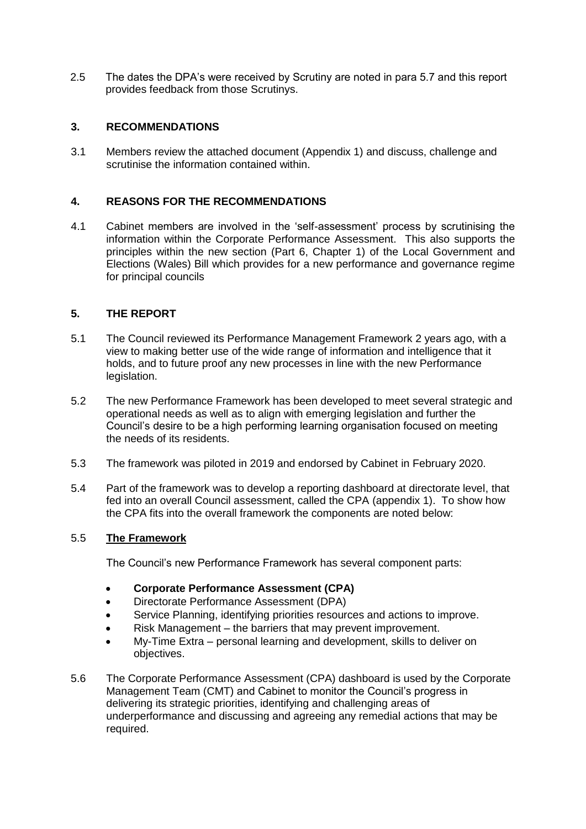2.5 The dates the DPA's were received by Scrutiny are noted in para 5.7 and this report provides feedback from those Scrutinys.

# **3. RECOMMENDATIONS**

3.1 Members review the attached document (Appendix 1) and discuss, challenge and scrutinise the information contained within.

## **4. REASONS FOR THE RECOMMENDATIONS**

4.1 Cabinet members are involved in the 'self-assessment' process by scrutinising the information within the Corporate Performance Assessment. This also supports the principles within the new section (Part 6, Chapter 1) of the Local Government and Elections (Wales) Bill which provides for a new performance and governance regime for principal councils

### **5. THE REPORT**

- 5.1 The Council reviewed its Performance Management Framework 2 years ago, with a view to making better use of the wide range of information and intelligence that it holds, and to future proof any new processes in line with the new Performance legislation.
- 5.2 The new Performance Framework has been developed to meet several strategic and operational needs as well as to align with emerging legislation and further the Council's desire to be a high performing learning organisation focused on meeting the needs of its residents.
- 5.3 The framework was piloted in 2019 and endorsed by Cabinet in February 2020.
- 5.4 Part of the framework was to develop a reporting dashboard at directorate level, that fed into an overall Council assessment, called the CPA (appendix 1). To show how the CPA fits into the overall framework the components are noted below:

### 5.5 **The Framework**

The Council's new Performance Framework has several component parts:

- **Corporate Performance Assessment (CPA)**
- Directorate Performance Assessment (DPA)
- Service Planning, identifying priorities resources and actions to improve.
- Risk Management the barriers that may prevent improvement.
- My-Time Extra personal learning and development, skills to deliver on objectives.
- 5.6 The Corporate Performance Assessment (CPA) dashboard is used by the Corporate Management Team (CMT) and Cabinet to monitor the Council's progress in delivering its strategic priorities, identifying and challenging areas of underperformance and discussing and agreeing any remedial actions that may be required.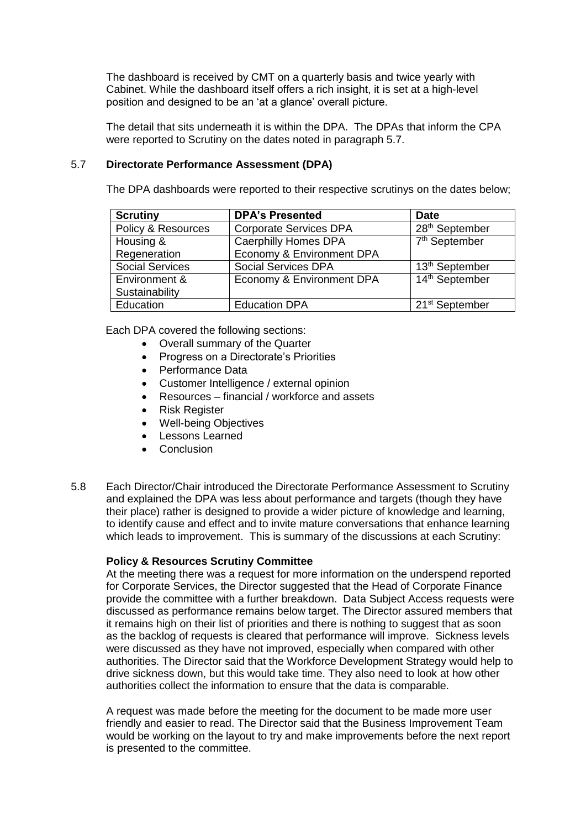The dashboard is received by CMT on a quarterly basis and twice yearly with Cabinet. While the dashboard itself offers a rich insight, it is set at a high-level position and designed to be an 'at a glance' overall picture.

The detail that sits underneath it is within the DPA. The DPAs that inform the CPA were reported to Scrutiny on the dates noted in paragraph 5.7.

### 5.7 **Directorate Performance Assessment (DPA)**

The DPA dashboards were reported to their respective scrutinys on the dates below;

| <b>Scrutiny</b>        | <b>DPA's Presented</b>        | <b>Date</b>                |
|------------------------|-------------------------------|----------------------------|
| Policy & Resources     | <b>Corporate Services DPA</b> | 28 <sup>th</sup> September |
| Housing &              | <b>Caerphilly Homes DPA</b>   | 7 <sup>th</sup> September  |
| Regeneration           | Economy & Environment DPA     |                            |
| <b>Social Services</b> | <b>Social Services DPA</b>    | 13 <sup>th</sup> September |
| Environment &          | Economy & Environment DPA     | 14th September             |
| Sustainability         |                               |                            |
| Education              | <b>Education DPA</b>          | 21 <sup>st</sup> September |

Each DPA covered the following sections:

- Overall summary of the Quarter
- Progress on a Directorate's Priorities
- Performance Data
- Customer Intelligence / external opinion
- Resources financial / workforce and assets
- Risk Register
- Well-being Objectives
- Lessons Learned
- Conclusion
- 5.8 Each Director/Chair introduced the Directorate Performance Assessment to Scrutiny and explained the DPA was less about performance and targets (though they have their place) rather is designed to provide a wider picture of knowledge and learning, to identify cause and effect and to invite mature conversations that enhance learning which leads to improvement. This is summary of the discussions at each Scrutiny:

### **Policy & Resources Scrutiny Committee**

At the meeting there was a request for more information on the underspend reported for Corporate Services, the Director suggested that the Head of Corporate Finance provide the committee with a further breakdown. Data Subject Access requests were discussed as performance remains below target. The Director assured members that it remains high on their list of priorities and there is nothing to suggest that as soon as the backlog of requests is cleared that performance will improve. Sickness levels were discussed as they have not improved, especially when compared with other authorities. The Director said that the Workforce Development Strategy would help to drive sickness down, but this would take time. They also need to look at how other authorities collect the information to ensure that the data is comparable.

A request was made before the meeting for the document to be made more user friendly and easier to read. The Director said that the Business Improvement Team would be working on the layout to try and make improvements before the next report is presented to the committee.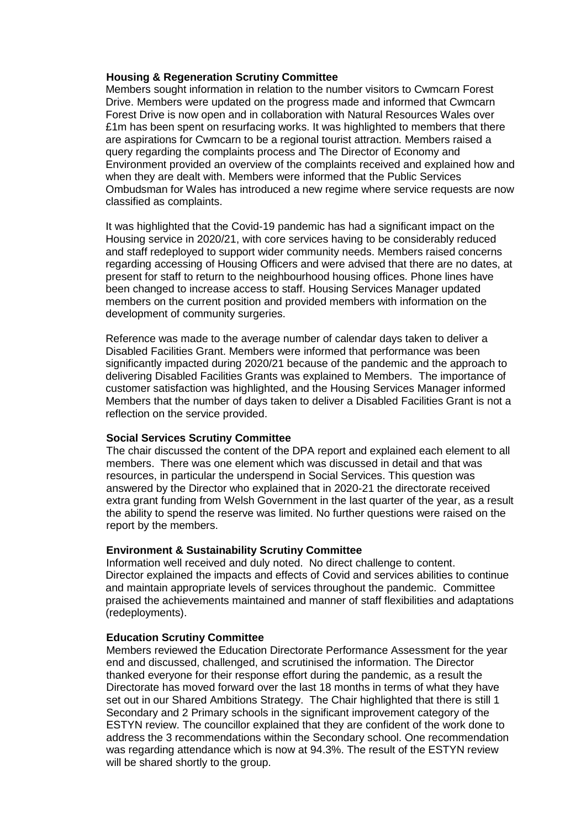#### **Housing & Regeneration Scrutiny Committee**

Members sought information in relation to the number visitors to Cwmcarn Forest Drive. Members were updated on the progress made and informed that Cwmcarn Forest Drive is now open and in collaboration with Natural Resources Wales over £1m has been spent on resurfacing works. It was highlighted to members that there are aspirations for Cwmcarn to be a regional tourist attraction. Members raised a query regarding the complaints process and The Director of Economy and Environment provided an overview of the complaints received and explained how and when they are dealt with. Members were informed that the Public Services Ombudsman for Wales has introduced a new regime where service requests are now classified as complaints.

It was highlighted that the Covid-19 pandemic has had a significant impact on the Housing service in 2020/21, with core services having to be considerably reduced and staff redeployed to support wider community needs. Members raised concerns regarding accessing of Housing Officers and were advised that there are no dates, at present for staff to return to the neighbourhood housing offices. Phone lines have been changed to increase access to staff. Housing Services Manager updated members on the current position and provided members with information on the development of community surgeries.

Reference was made to the average number of calendar days taken to deliver a Disabled Facilities Grant. Members were informed that performance was been significantly impacted during 2020/21 because of the pandemic and the approach to delivering Disabled Facilities Grants was explained to Members. The importance of customer satisfaction was highlighted, and the Housing Services Manager informed Members that the number of days taken to deliver a Disabled Facilities Grant is not a reflection on the service provided.

#### **Social Services Scrutiny Committee**

The chair discussed the content of the DPA report and explained each element to all members. There was one element which was discussed in detail and that was resources, in particular the underspend in Social Services. This question was answered by the Director who explained that in 2020-21 the directorate received extra grant funding from Welsh Government in the last quarter of the year, as a result the ability to spend the reserve was limited. No further questions were raised on the report by the members.

#### **Environment & Sustainability Scrutiny Committee**

Information well received and duly noted. No direct challenge to content. Director explained the impacts and effects of Covid and services abilities to continue and maintain appropriate levels of services throughout the pandemic. Committee praised the achievements maintained and manner of staff flexibilities and adaptations (redeployments).

#### **Education Scrutiny Committee**

Members reviewed the Education Directorate Performance Assessment for the year end and discussed, challenged, and scrutinised the information. The Director thanked everyone for their response effort during the pandemic, as a result the Directorate has moved forward over the last 18 months in terms of what they have set out in our Shared Ambitions Strategy. The Chair highlighted that there is still 1 Secondary and 2 Primary schools in the significant improvement category of the ESTYN review. The councillor explained that they are confident of the work done to address the 3 recommendations within the Secondary school. One recommendation was regarding attendance which is now at 94.3%. The result of the ESTYN review will be shared shortly to the group.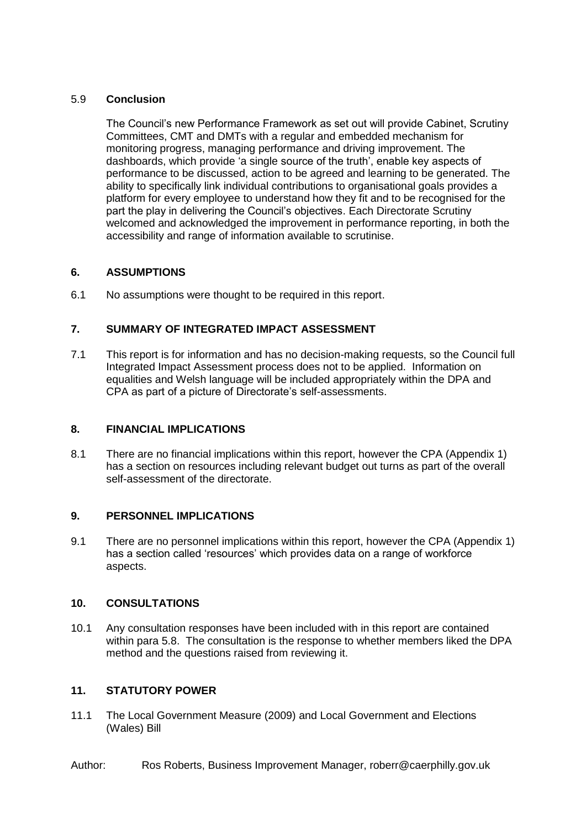## 5.9 **Conclusion**

The Council's new Performance Framework as set out will provide Cabinet, Scrutiny Committees, CMT and DMTs with a regular and embedded mechanism for monitoring progress, managing performance and driving improvement. The dashboards, which provide 'a single source of the truth', enable key aspects of performance to be discussed, action to be agreed and learning to be generated. The ability to specifically link individual contributions to organisational goals provides a platform for every employee to understand how they fit and to be recognised for the part the play in delivering the Council's objectives. Each Directorate Scrutiny welcomed and acknowledged the improvement in performance reporting, in both the accessibility and range of information available to scrutinise.

# **6. ASSUMPTIONS**

6.1 No assumptions were thought to be required in this report.

# **7. SUMMARY OF INTEGRATED IMPACT ASSESSMENT**

7.1 This report is for information and has no decision-making requests, so the Council full Integrated Impact Assessment process does not to be applied. Information on equalities and Welsh language will be included appropriately within the DPA and CPA as part of a picture of Directorate's self-assessments.

# **8. FINANCIAL IMPLICATIONS**

8.1 There are no financial implications within this report, however the CPA (Appendix 1) has a section on resources including relevant budget out turns as part of the overall self-assessment of the directorate.

### **9. PERSONNEL IMPLICATIONS**

9.1 There are no personnel implications within this report, however the CPA (Appendix 1) has a section called 'resources' which provides data on a range of workforce aspects.

## **10. CONSULTATIONS**

10.1 Any consultation responses have been included with in this report are contained within para 5.8. The consultation is the response to whether members liked the DPA method and the questions raised from reviewing it.

# **11. STATUTORY POWER**

11.1 The Local Government Measure (2009) and Local Government and Elections (Wales) Bill

### Author: Ros Roberts, Business Improvement Manager, roberr@caerphilly.gov.uk